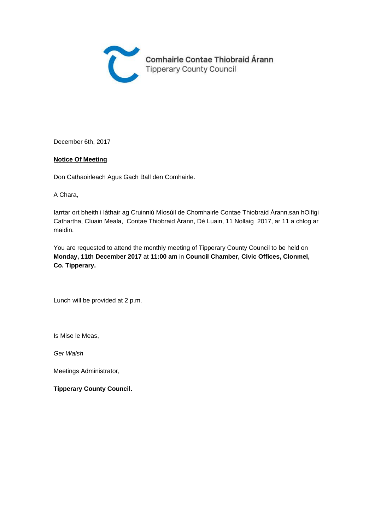

December 6th, 2017

#### **Notice Of Meeting**

Don Cathaoirleach Agus Gach Ball den Comhairle.

A Chara,

Iarrtar ort bheith i láthair ag Cruinniú Míosúil de Chomhairle Contae Thiobraid Árann,san hOifigi Cathartha, Cluain Meala, Contae Thiobraid Árann, Dé Luain, 11 Nollaig 2017, ar 11 a chlog ar maidin.

You are requested to attend the monthly meeting of Tipperary County Council to be held on **Monday, 11th December 2017** at **11:00 am** in **Council Chamber, Civic Offices, Clonmel, Co. Tipperary.** 

Lunch will be provided at 2 p.m.

Is Mise le Meas,

Ger Walsh

Meetings Administrator,

**Tipperary County Council.**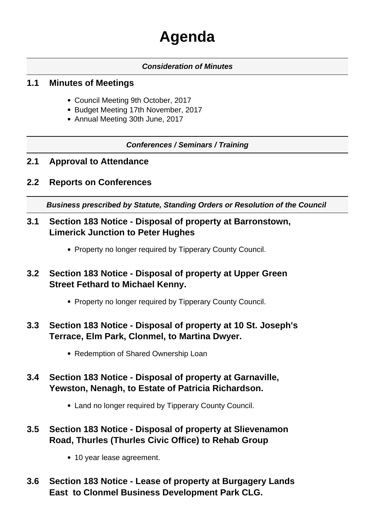# **Agenda**

#### **Consideration of Minutes**

#### **1.1 Minutes of Meetings**

- Council Meeting 9th October, 2017
- Budget Meeting 17th November, 2017
- Annual Meeting 30th June, 2017

#### **Conferences / Seminars / Training**

- **2.1 Approval to Attendance**
- **2.2 Reports on Conferences**

**Business prescribed by Statute, Standing Orders or Resolution of the Council** 

- **3.1 Section 183 Notice Disposal of property at Barronstown, Limerick Junction to Peter Hughes**
	- Property no longer required by Tipperary County Council.
- **3.2 Section 183 Notice Disposal of property at Upper Green Street Fethard to Michael Kenny.**
	- Property no longer required by Tipperary County Council.

# **3.3 Section 183 Notice - Disposal of property at 10 St. Joseph's Terrace, Elm Park, Clonmel, to Martina Dwyer.**

- Redemption of Shared Ownership Loan
- **3.4 Section 183 Notice Disposal of property at Garnaville, Yewston, Nenagh, to Estate of Patricia Richardson.**
	- Land no longer required by Tipperary County Council.
- **3.5 Section 183 Notice Disposal of property at Slievenamon Road, Thurles (Thurles Civic Office) to Rehab Group**
	- 10 year lease agreement.
- **3.6 Section 183 Notice Lease of property at Burgagery Lands East to Clonmel Business Development Park CLG.**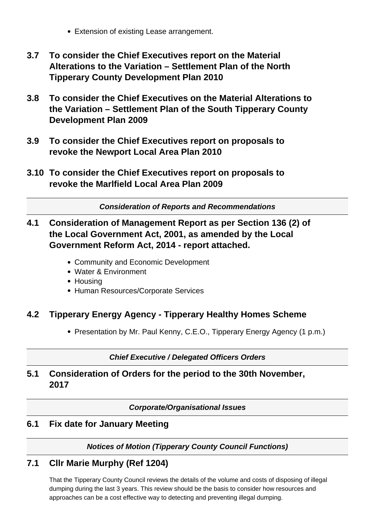- Extension of existing Lease arrangement.
- **3.7 To consider the Chief Executives report on the Material Alterations to the Variation – Settlement Plan of the North Tipperary County Development Plan 2010**
- **3.8 To consider the Chief Executives on the Material Alterations to the Variation – Settlement Plan of the South Tipperary County Development Plan 2009**
- **3.9 To consider the Chief Executives report on proposals to revoke the Newport Local Area Plan 2010**
- **3.10 To consider the Chief Executives report on proposals to revoke the Marlfield Local Area Plan 2009**

**Consideration of Reports and Recommendations**

- **4.1 Consideration of Management Report as per Section 136 (2) of the Local Government Act, 2001, as amended by the Local Government Reform Act, 2014 - report attached.**
	- Community and Economic Development
	- Water & Environment
	- Housing
	- Human Resources/Corporate Services

## **4.2 Tipperary Energy Agency - Tipperary Healthy Homes Scheme**

• Presentation by Mr. Paul Kenny, C.E.O., Tipperary Energy Agency (1 p.m.)

**Chief Executive / Delegated Officers Orders**

## **5.1 Consideration of Orders for the period to the 30th November, 2017**

**Corporate/Organisational Issues**

## **6.1 Fix date for January Meeting**

#### **Notices of Motion (Tipperary County Council Functions)**

## **7.1 Cllr Marie Murphy (Ref 1204)**

That the Tipperary County Council reviews the details of the volume and costs of disposing of illegal dumping during the last 3 years. This review should be the basis to consider how resources and approaches can be a cost effective way to detecting and preventing illegal dumping.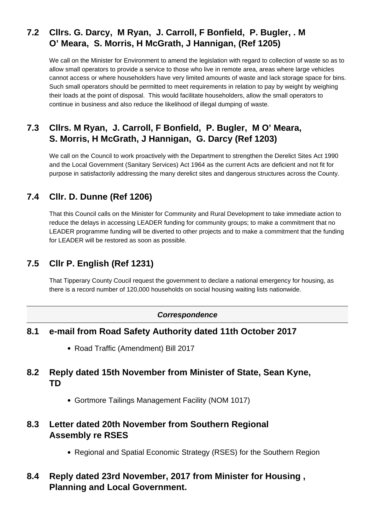# **7.2 Cllrs. G. Darcy, M Ryan, J. Carroll, F Bonfield, P. Bugler, . M O' Meara, S. Morris, H McGrath, J Hannigan, (Ref 1205)**

We call on the Minister for Environment to amend the legislation with regard to collection of waste so as to allow small operators to provide a service to those who live in remote area, areas where large vehicles cannot access or where householders have very limited amounts of waste and lack storage space for bins. Such small operators should be permitted to meet requirements in relation to pay by weight by weighing their loads at the point of disposal. This would facilitate householders, allow the small operators to continue in business and also reduce the likelihood of illegal dumping of waste.

# **7.3 Cllrs. M Ryan, J. Carroll, F Bonfield, P. Bugler, M O' Meara, S. Morris, H McGrath, J Hannigan, G. Darcy (Ref 1203)**

We call on the Council to work proactively with the Department to strengthen the Derelict Sites Act 1990 and the Local Government (Sanitary Services) Act 1964 as the current Acts are deficient and not fit for purpose in satisfactorily addressing the many derelict sites and dangerous structures across the County.

# **7.4 Cllr. D. Dunne (Ref 1206)**

That this Council calls on the Minister for Community and Rural Development to take immediate action to reduce the delays in accessing LEADER funding for community groups; to make a commitment that no LEADER programme funding will be diverted to other projects and to make a commitment that the funding for LEADER will be restored as soon as possible.

# **7.5 Cllr P. English (Ref 1231)**

That Tipperary County Coucil request the government to declare a national emergency for housing, as there is a record number of 120,000 households on social housing waiting lists nationwide.

#### **Correspondence**

#### **8.1 e-mail from Road Safety Authority dated 11th October 2017**

• Road Traffic (Amendment) Bill 2017

## **8.2 Reply dated 15th November from Minister of State, Sean Kyne, TD**

Gortmore Tailings Management Facility (NOM 1017)

#### **8.3 Letter dated 20th November from Southern Regional Assembly re RSES**

Regional and Spatial Economic Strategy (RSES) for the Southern Region

# **8.4 Reply dated 23rd November, 2017 from Minister for Housing , Planning and Local Government.**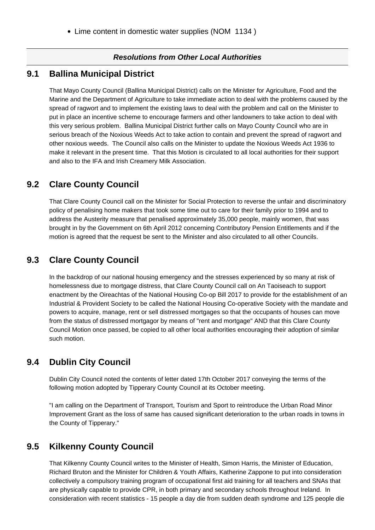#### **Resolutions from Other Local Authorities**

#### **9.1 Ballina Municipal District**

That Mayo County Council (Ballina Municipal District) calls on the Minister for Agriculture, Food and the Marine and the Department of Agriculture to take immediate action to deal with the problems caused by the spread of ragwort and to implement the existing laws to deal with the problem and call on the Minister to put in place an incentive scheme to encourage farmers and other landowners to take action to deal with this very serious problem. Ballina Municipal District further calls on Mayo County Council who are in serious breach of the Noxious Weeds Act to take action to contain and prevent the spread of ragwort and other noxious weeds. The Council also calls on the Minister to update the Noxious Weeds Act 1936 to make it relevant in the present time. That this Motion is circulated to all local authorities for their support and also to the IFA and Irish Creamery Milk Association.

#### **9.2 Clare County Council**

That Clare County Council call on the Minister for Social Protection to reverse the unfair and discriminatory policy of penalising home makers that took some time out to care for their family prior to 1994 and to address the Austerity measure that penalised approximately 35,000 people, mainly women, that was brought in by the Government on 6th April 2012 concerning Contributory Pension Entitlements and if the motion is agreed that the request be sent to the Minister and also circulated to all other Councils.

#### **9.3 Clare County Council**

In the backdrop of our national housing emergency and the stresses experienced by so many at risk of homelessness due to mortgage distress, that Clare County Council call on An Taoiseach to support enactment by the Oireachtas of the National Housing Co-op Bill 2017 to provide for the establishment of an Industrial & Provident Society to be called the National Housing Co-operative Society with the mandate and powers to acquire, manage, rent or sell distressed mortgages so that the occupants of houses can move from the status of distressed mortgagor by means of "rent and mortgage" AND that this Clare County Council Motion once passed, be copied to all other local authorities encouraging their adoption of similar such motion.

#### **9.4 Dublin City Council**

Dublin City Council noted the contents of letter dated 17th October 2017 conveying the terms of the following motion adopted by Tipperary County Council at its October meeting.

"I am calling on the Department of Transport, Tourism and Sport to reintroduce the Urban Road Minor Improvement Grant as the loss of same has caused significant deterioration to the urban roads in towns in the County of Tipperary."

#### **9.5 Kilkenny County Council**

That Kilkenny County Council writes to the Minister of Health, Simon Harris, the Minister of Education, Richard Bruton and the Minister for Children & Youth Affairs, Katherine Zappone to put into consideration collectively a compulsory training program of occupational first aid training for all teachers and SNAs that are physically capable to provide CPR, in both primary and secondary schools throughout Ireland. In consideration with recent statistics - 15 people a day die from sudden death syndrome and 125 people die